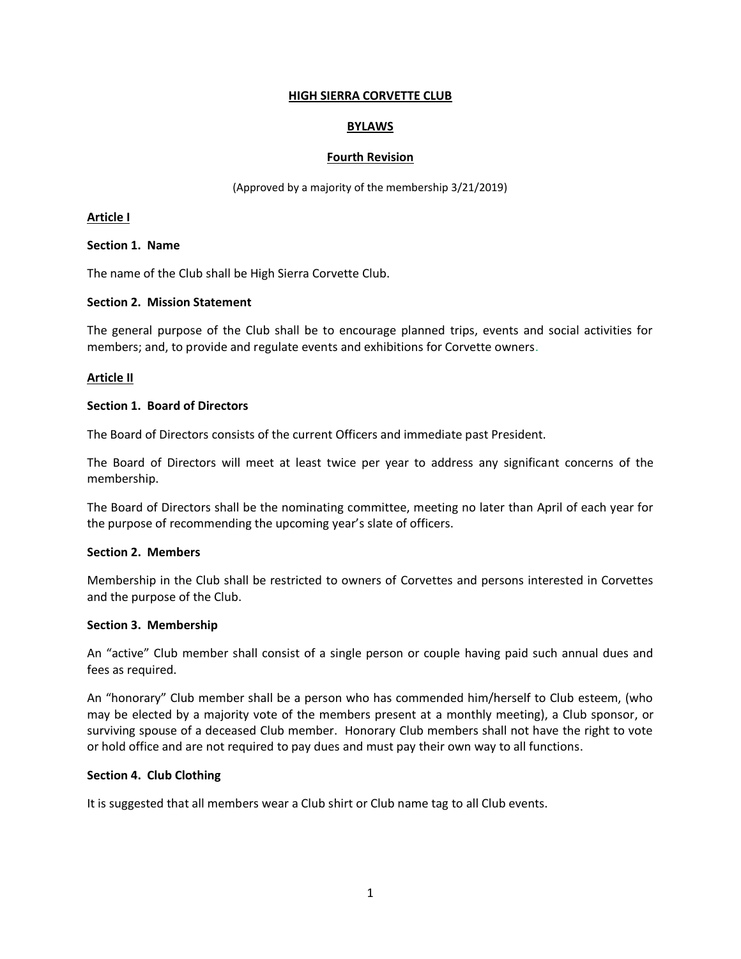# **HIGH SIERRA CORVETTE CLUB**

# **BYLAWS**

#### **Fourth Revision**

(Approved by a majority of the membership 3/21/2019)

### **Article I**

## **Section 1. Name**

The name of the Club shall be High Sierra Corvette Club.

## **Section 2. Mission Statement**

The general purpose of the Club shall be to encourage planned trips, events and social activities for members; and, to provide and regulate events and exhibitions for Corvette owners.

## **Article II**

## **Section 1. Board of Directors**

The Board of Directors consists of the current Officers and immediate past President.

The Board of Directors will meet at least twice per year to address any significant concerns of the membership.

The Board of Directors shall be the nominating committee, meeting no later than April of each year for the purpose of recommending the upcoming year's slate of officers.

### **Section 2. Members**

Membership in the Club shall be restricted to owners of Corvettes and persons interested in Corvettes and the purpose of the Club.

### **Section 3. Membership**

An "active" Club member shall consist of a single person or couple having paid such annual dues and fees as required.

An "honorary" Club member shall be a person who has commended him/herself to Club esteem, (who may be elected by a majority vote of the members present at a monthly meeting), a Club sponsor, or surviving spouse of a deceased Club member. Honorary Club members shall not have the right to vote or hold office and are not required to pay dues and must pay their own way to all functions.

#### **Section 4. Club Clothing**

It is suggested that all members wear a Club shirt or Club name tag to all Club events.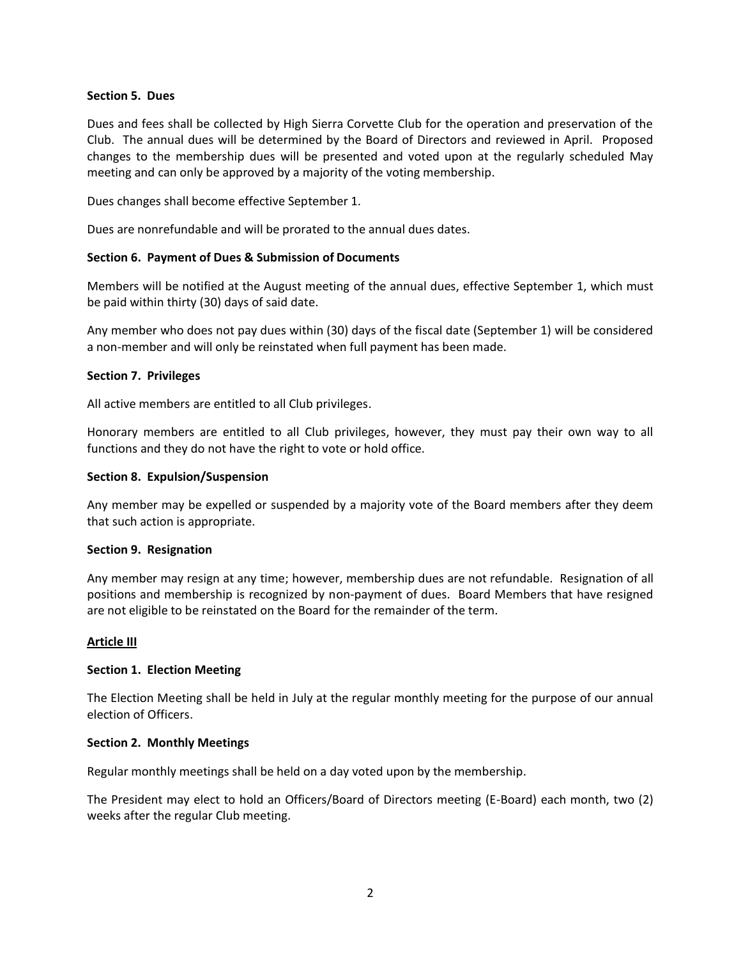### **Section 5. Dues**

Dues and fees shall be collected by High Sierra Corvette Club for the operation and preservation of the Club. The annual dues will be determined by the Board of Directors and reviewed in April. Proposed changes to the membership dues will be presented and voted upon at the regularly scheduled May meeting and can only be approved by a majority of the voting membership.

Dues changes shall become effective September 1.

Dues are nonrefundable and will be prorated to the annual dues dates.

## **Section 6. Payment of Dues & Submission of Documents**

Members will be notified at the August meeting of the annual dues, effective September 1, which must be paid within thirty (30) days of said date.

Any member who does not pay dues within (30) days of the fiscal date (September 1) will be considered a non-member and will only be reinstated when full payment has been made.

## **Section 7. Privileges**

All active members are entitled to all Club privileges.

Honorary members are entitled to all Club privileges, however, they must pay their own way to all functions and they do not have the right to vote or hold office.

## **Section 8. Expulsion/Suspension**

Any member may be expelled or suspended by a majority vote of the Board members after they deem that such action is appropriate.

#### **Section 9. Resignation**

Any member may resign at any time; however, membership dues are not refundable. Resignation of all positions and membership is recognized by non-payment of dues. Board Members that have resigned are not eligible to be reinstated on the Board for the remainder of the term.

#### **Article III**

# **Section 1. Election Meeting**

The Election Meeting shall be held in July at the regular monthly meeting for the purpose of our annual election of Officers.

#### **Section 2. Monthly Meetings**

Regular monthly meetings shall be held on a day voted upon by the membership.

The President may elect to hold an Officers/Board of Directors meeting (E-Board) each month, two (2) weeks after the regular Club meeting.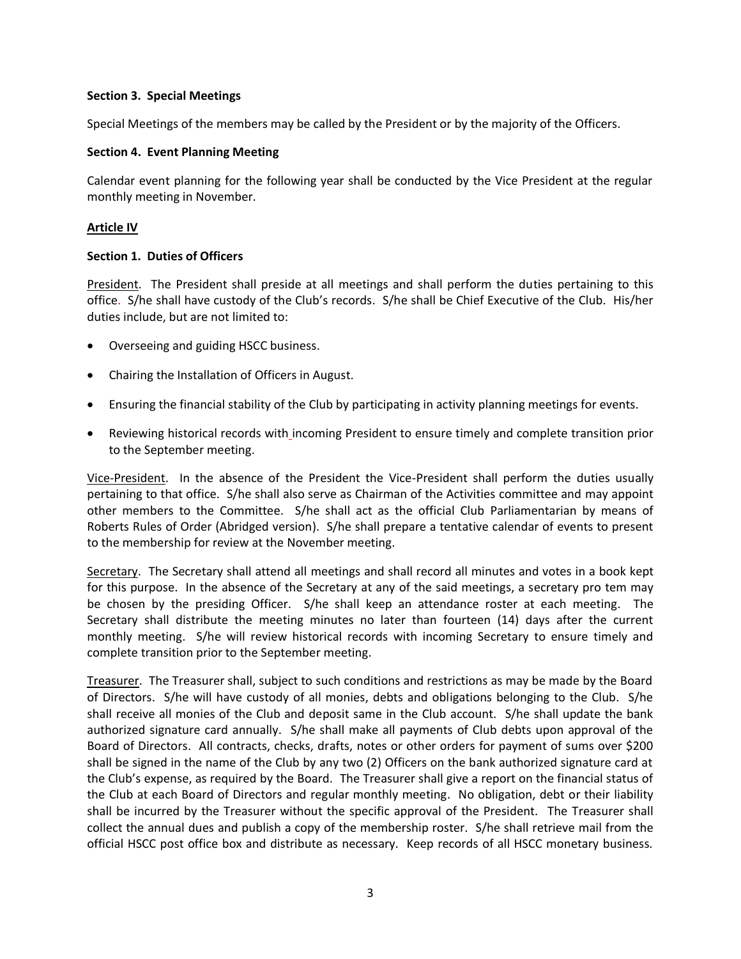# **Section 3. Special Meetings**

Special Meetings of the members may be called by the President or by the majority of the Officers.

## **Section 4. Event Planning Meeting**

Calendar event planning for the following year shall be conducted by the Vice President at the regular monthly meeting in November.

# **Article IV**

## **Section 1. Duties of Officers**

President. The President shall preside at all meetings and shall perform the duties pertaining to this office. S/he shall have custody of the Club's records. S/he shall be Chief Executive of the Club. His/her duties include, but are not limited to:

- Overseeing and guiding HSCC business.
- Chairing the Installation of Officers in August.
- Ensuring the financial stability of the Club by participating in activity planning meetings for events.
- Reviewing historical records with incoming President to ensure timely and complete transition prior to the September meeting.

Vice-President. In the absence of the President the Vice-President shall perform the duties usually pertaining to that office. S/he shall also serve as Chairman of the Activities committee and may appoint other members to the Committee. S/he shall act as the official Club Parliamentarian by means of Roberts Rules of Order (Abridged version). S/he shall prepare a tentative calendar of events to present to the membership for review at the November meeting.

Secretary. The Secretary shall attend all meetings and shall record all minutes and votes in a book kept for this purpose. In the absence of the Secretary at any of the said meetings, a secretary pro tem may be chosen by the presiding Officer. S/he shall keep an attendance roster at each meeting. The Secretary shall distribute the meeting minutes no later than fourteen (14) days after the current monthly meeting. S/he will review historical records with incoming Secretary to ensure timely and complete transition prior to the September meeting.

Treasurer. The Treasurer shall, subject to such conditions and restrictions as may be made by the Board of Directors. S/he will have custody of all monies, debts and obligations belonging to the Club. S/he shall receive all monies of the Club and deposit same in the Club account. S/he shall update the bank authorized signature card annually. S/he shall make all payments of Club debts upon approval of the Board of Directors. All contracts, checks, drafts, notes or other orders for payment of sums over \$200 shall be signed in the name of the Club by any two (2) Officers on the bank authorized signature card at the Club's expense, as required by the Board. The Treasurer shall give a report on the financial status of the Club at each Board of Directors and regular monthly meeting. No obligation, debt or their liability shall be incurred by the Treasurer without the specific approval of the President. The Treasurer shall collect the annual dues and publish a copy of the membership roster. S/he shall retrieve mail from the official HSCC post office box and distribute as necessary. Keep records of all HSCC monetary business.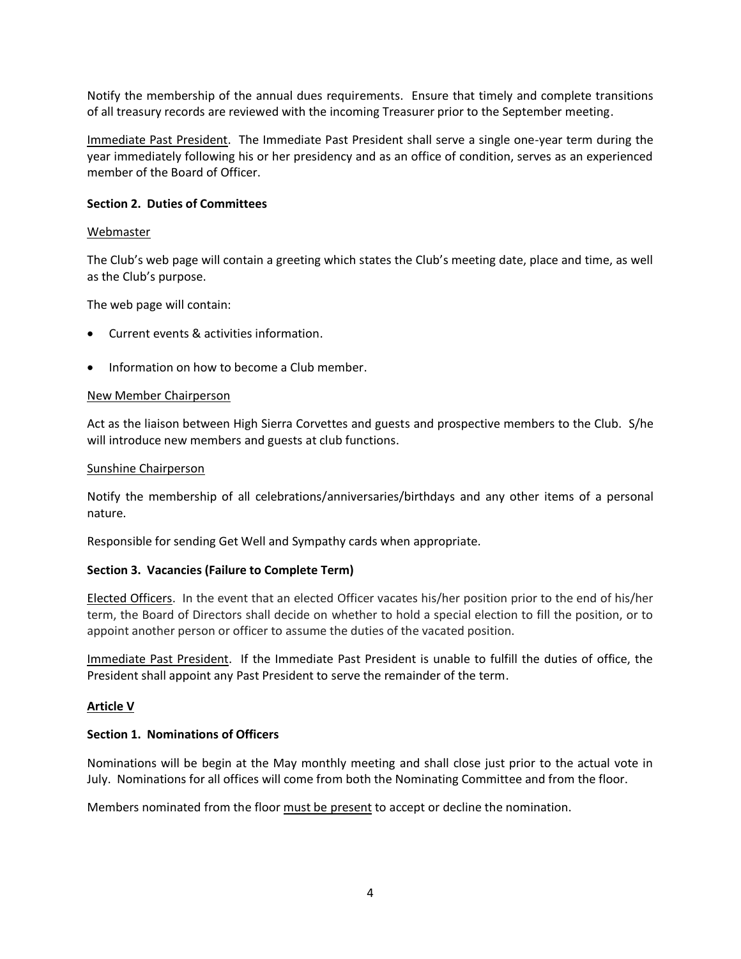Notify the membership of the annual dues requirements. Ensure that timely and complete transitions of all treasury records are reviewed with the incoming Treasurer prior to the September meeting.

Immediate Past President. The Immediate Past President shall serve a single one-year term during the year immediately following his or her presidency and as an office of condition, serves as an experienced member of the Board of Officer.

### **Section 2. Duties of Committees**

### **Webmaster**

The Club's web page will contain a greeting which states the Club's meeting date, place and time, as well as the Club's purpose.

The web page will contain:

- Current events & activities information.
- Information on how to become a Club member.

#### New Member Chairperson

Act as the liaison between High Sierra Corvettes and guests and prospective members to the Club. S/he will introduce new members and guests at club functions.

#### Sunshine Chairperson

Notify the membership of all celebrations/anniversaries/birthdays and any other items of a personal nature.

Responsible for sending Get Well and Sympathy cards when appropriate.

# **Section 3. Vacancies (Failure to Complete Term)**

Elected Officers. In the event that an elected Officer vacates his/her position prior to the end of his/her term, the Board of Directors shall decide on whether to hold a special election to fill the position, or to appoint another person or officer to assume the duties of the vacated position.

Immediate Past President. If the Immediate Past President is unable to fulfill the duties of office, the President shall appoint any Past President to serve the remainder of the term.

# **Article V**

# **Section 1. Nominations of Officers**

Nominations will be begin at the May monthly meeting and shall close just prior to the actual vote in July. Nominations for all offices will come from both the Nominating Committee and from the floor.

Members nominated from the floor must be present to accept or decline the nomination.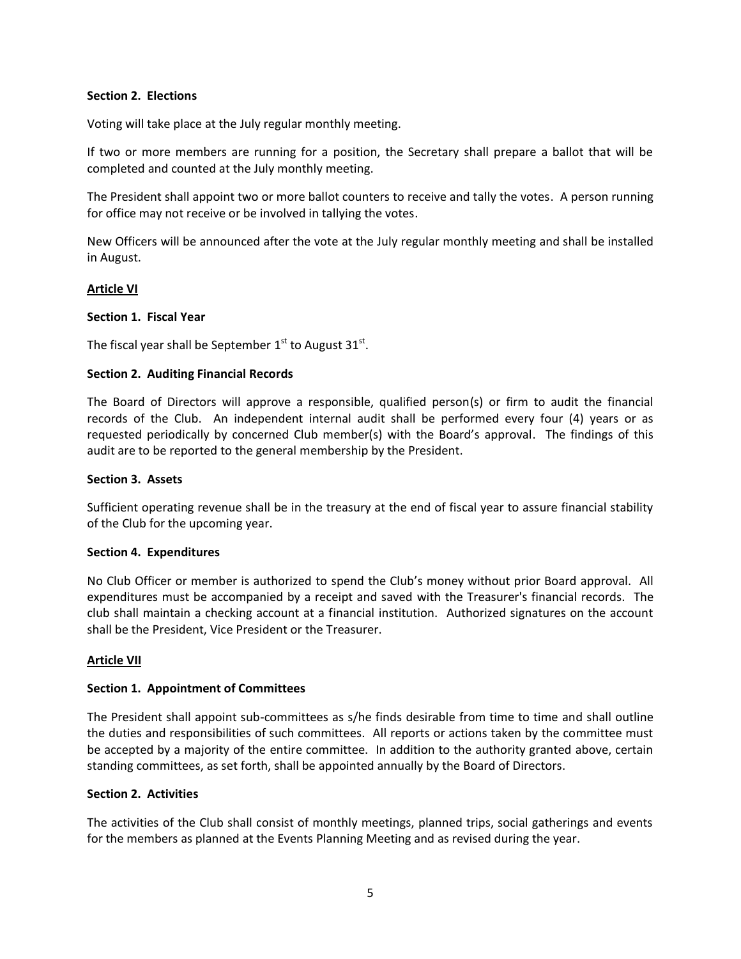## **Section 2. Elections**

Voting will take place at the July regular monthly meeting.

If two or more members are running for a position, the Secretary shall prepare a ballot that will be completed and counted at the July monthly meeting.

The President shall appoint two or more ballot counters to receive and tally the votes. A person running for office may not receive or be involved in tallying the votes.

New Officers will be announced after the vote at the July regular monthly meeting and shall be installed in August.

## **Article VI**

## **Section 1. Fiscal Year**

The fiscal year shall be September  $1^{\text{st}}$  to August 31 $^{\text{st}}$ .

## **Section 2. Auditing Financial Records**

The Board of Directors will approve a responsible, qualified person(s) or firm to audit the financial records of the Club. An independent internal audit shall be performed every four (4) years or as requested periodically by concerned Club member(s) with the Board's approval. The findings of this audit are to be reported to the general membership by the President.

### **Section 3. Assets**

Sufficient operating revenue shall be in the treasury at the end of fiscal year to assure financial stability of the Club for the upcoming year.

#### **Section 4. Expenditures**

No Club Officer or member is authorized to spend the Club's money without prior Board approval. All expenditures must be accompanied by a receipt and saved with the Treasurer's financial records. The club shall maintain a checking account at a financial institution. Authorized signatures on the account shall be the President, Vice President or the Treasurer.

#### **Article VII**

#### **Section 1. Appointment of Committees**

The President shall appoint sub-committees as s/he finds desirable from time to time and shall outline the duties and responsibilities of such committees. All reports or actions taken by the committee must be accepted by a majority of the entire committee. In addition to the authority granted above, certain standing committees, as set forth, shall be appointed annually by the Board of Directors.

## **Section 2. Activities**

The activities of the Club shall consist of monthly meetings, planned trips, social gatherings and events for the members as planned at the Events Planning Meeting and as revised during the year.